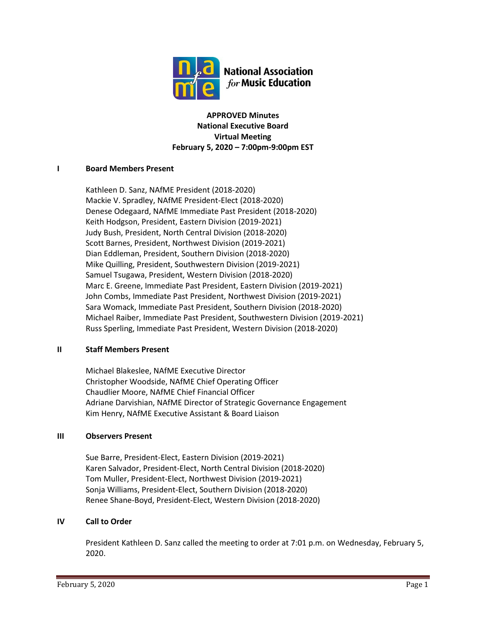

**APPROVED Minutes National Executive Board Virtual Meeting February 5, 2020 – 7:00pm-9:00pm EST**

### **I Board Members Present**

Kathleen D. Sanz, NAfME President (2018-2020) Mackie V. Spradley, NAfME President-Elect (2018-2020) Denese Odegaard, NAfME Immediate Past President (2018-2020) Keith Hodgson, President, Eastern Division (2019-2021) Judy Bush, President, North Central Division (2018-2020) Scott Barnes, President, Northwest Division (2019-2021) Dian Eddleman, President, Southern Division (2018-2020) Mike Quilling, President, Southwestern Division (2019-2021) Samuel Tsugawa, President, Western Division (2018-2020) Marc E. Greene, Immediate Past President, Eastern Division (2019-2021) John Combs, Immediate Past President, Northwest Division (2019-2021) Sara Womack, Immediate Past President, Southern Division (2018-2020) Michael Raiber, Immediate Past President, Southwestern Division (2019-2021) Russ Sperling, Immediate Past President, Western Division (2018-2020)

### **II Staff Members Present**

Michael Blakeslee, NAfME Executive Director Christopher Woodside, NAfME Chief Operating Officer Chaudlier Moore, NAfME Chief Financial Officer Adriane Darvishian, NAfME Director of Strategic Governance Engagement Kim Henry, NAfME Executive Assistant & Board Liaison

### **III Observers Present**

Sue Barre, President-Elect, Eastern Division (2019-2021) Karen Salvador, President-Elect, North Central Division (2018-2020) Tom Muller, President-Elect, Northwest Division (2019-2021) Sonja Williams, President-Elect, Southern Division (2018-2020) Renee Shane-Boyd, President-Elect, Western Division (2018-2020)

## **IV Call to Order**

President Kathleen D. Sanz called the meeting to order at 7:01 p.m. on Wednesday, February 5, 2020.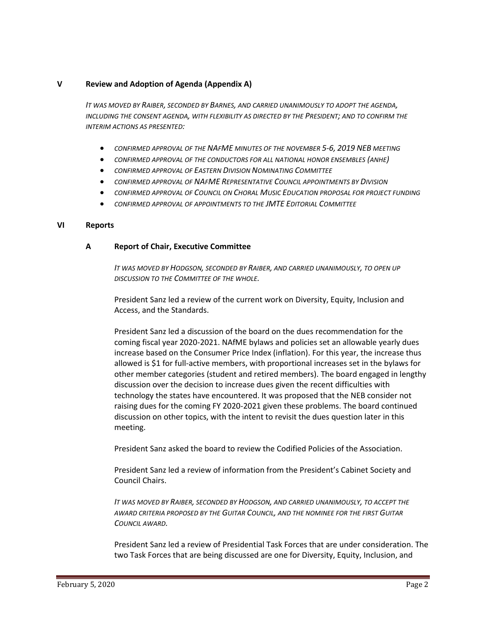### **V Review and Adoption of Agenda (Appendix A)**

*IT WAS MOVED BY RAIBER, SECONDED BY BARNES, AND CARRIED UNANIMOUSLY TO ADOPT THE AGENDA, INCLUDING THE CONSENT AGENDA, WITH FLEXIBILITY AS DIRECTED BY THE PRESIDENT; AND TO CONFIRM THE INTERIM ACTIONS AS PRESENTED:*

- *CONFIRMED APPROVAL OF THE NAFME MINUTES OF THE NOVEMBER 5-6, 2019 NEB MEETING*
- *CONFIRMED APPROVAL OF THE CONDUCTORS FOR ALL NATIONAL HONOR ENSEMBLES (ANHE)*
- *CONFIRMED APPROVAL OF EASTERN DIVISION NOMINATING COMMITTEE*
- *CONFIRMED APPROVAL OF NAFME REPRESENTATIVE COUNCIL APPOINTMENTS BY DIVISION*
- *CONFIRMED APPROVAL OF COUNCIL ON CHORAL MUSIC EDUCATION PROPOSAL FOR PROJECT FUNDING*
- *CONFIRMED APPROVAL OF APPOINTMENTS TO THE JMTE EDITORIAL COMMITTEE*

#### **VI Reports**

#### **A Report of Chair, Executive Committee**

*IT WAS MOVED BY HODGSON, SECONDED BY RAIBER, AND CARRIED UNANIMOUSLY, TO OPEN UP DISCUSSION TO THE COMMITTEE OF THE WHOLE.*

President Sanz led a review of the current work on Diversity, Equity, Inclusion and Access, and the Standards.

President Sanz led a discussion of the board on the dues recommendation for the coming fiscal year 2020-2021. NAfME bylaws and policies set an allowable yearly dues increase based on the Consumer Price Index (inflation). For this year, the increase thus allowed is \$1 for full-active members, with proportional increases set in the bylaws for other member categories (student and retired members). The board engaged in lengthy discussion over the decision to increase dues given the recent difficulties with technology the states have encountered. It was proposed that the NEB consider not raising dues for the coming FY 2020-2021 given these problems. The board continued discussion on other topics, with the intent to revisit the dues question later in this meeting.

President Sanz asked the board to review the Codified Policies of the Association.

President Sanz led a review of information from the President's Cabinet Society and Council Chairs.

*IT WAS MOVED BY RAIBER, SECONDED BY HODGSON, AND CARRIED UNANIMOUSLY, TO ACCEPT THE AWARD CRITERIA PROPOSED BY THE GUITAR COUNCIL, AND THE NOMINEE FOR THE FIRST GUITAR COUNCIL AWARD.*

President Sanz led a review of Presidential Task Forces that are under consideration. The two Task Forces that are being discussed are one for Diversity, Equity, Inclusion, and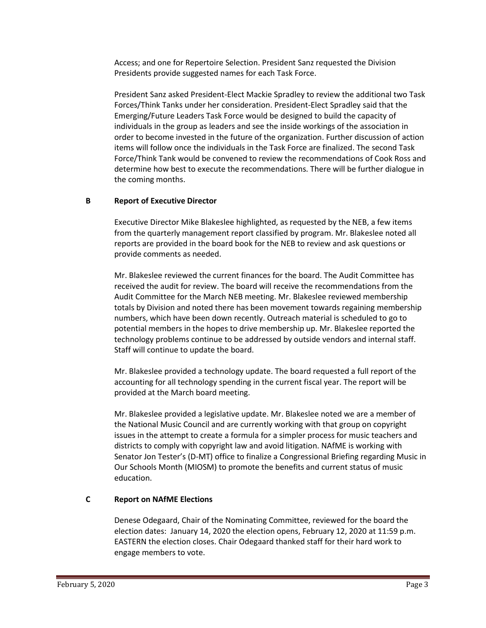Access; and one for Repertoire Selection. President Sanz requested the Division Presidents provide suggested names for each Task Force.

President Sanz asked President-Elect Mackie Spradley to review the additional two Task Forces/Think Tanks under her consideration. President-Elect Spradley said that the Emerging/Future Leaders Task Force would be designed to build the capacity of individuals in the group as leaders and see the inside workings of the association in order to become invested in the future of the organization. Further discussion of action items will follow once the individuals in the Task Force are finalized. The second Task Force/Think Tank would be convened to review the recommendations of Cook Ross and determine how best to execute the recommendations. There will be further dialogue in the coming months.

## **B Report of Executive Director**

Executive Director Mike Blakeslee highlighted, as requested by the NEB, a few items from the quarterly management report classified by program. Mr. Blakeslee noted all reports are provided in the board book for the NEB to review and ask questions or provide comments as needed.

Mr. Blakeslee reviewed the current finances for the board. The Audit Committee has received the audit for review. The board will receive the recommendations from the Audit Committee for the March NEB meeting. Mr. Blakeslee reviewed membership totals by Division and noted there has been movement towards regaining membership numbers, which have been down recently. Outreach material is scheduled to go to potential members in the hopes to drive membership up. Mr. Blakeslee reported the technology problems continue to be addressed by outside vendors and internal staff. Staff will continue to update the board.

Mr. Blakeslee provided a technology update. The board requested a full report of the accounting for all technology spending in the current fiscal year. The report will be provided at the March board meeting.

Mr. Blakeslee provided a legislative update. Mr. Blakeslee noted we are a member of the National Music Council and are currently working with that group on copyright issues in the attempt to create a formula for a simpler process for music teachers and districts to comply with copyright law and avoid litigation. NAfME is working with Senator Jon Tester's (D-MT) office to finalize a Congressional Briefing regarding Music in Our Schools Month (MIOSM) to promote the benefits and current status of music education.

### **C Report on NAfME Elections**

Denese Odegaard, Chair of the Nominating Committee, reviewed for the board the election dates: January 14, 2020 the election opens, February 12, 2020 at 11:59 p.m. EASTERN the election closes. Chair Odegaard thanked staff for their hard work to engage members to vote.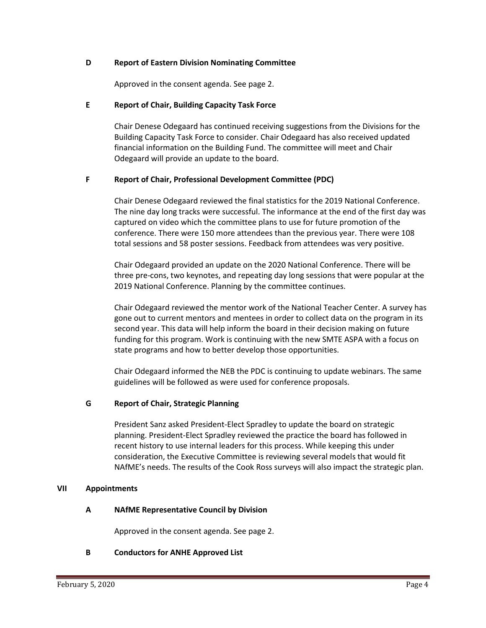### **D Report of Eastern Division Nominating Committee**

Approved in the consent agenda. See page 2.

### **E Report of Chair, Building Capacity Task Force**

Chair Denese Odegaard has continued receiving suggestions from the Divisions for the Building Capacity Task Force to consider. Chair Odegaard has also received updated financial information on the Building Fund. The committee will meet and Chair Odegaard will provide an update to the board.

## **F Report of Chair, Professional Development Committee (PDC)**

Chair Denese Odegaard reviewed the final statistics for the 2019 National Conference. The nine day long tracks were successful. The informance at the end of the first day was captured on video which the committee plans to use for future promotion of the conference. There were 150 more attendees than the previous year. There were 108 total sessions and 58 poster sessions. Feedback from attendees was very positive.

Chair Odegaard provided an update on the 2020 National Conference. There will be three pre-cons, two keynotes, and repeating day long sessions that were popular at the 2019 National Conference. Planning by the committee continues.

Chair Odegaard reviewed the mentor work of the National Teacher Center. A survey has gone out to current mentors and mentees in order to collect data on the program in its second year. This data will help inform the board in their decision making on future funding for this program. Work is continuing with the new SMTE ASPA with a focus on state programs and how to better develop those opportunities.

Chair Odegaard informed the NEB the PDC is continuing to update webinars. The same guidelines will be followed as were used for conference proposals.

### **G Report of Chair, Strategic Planning**

President Sanz asked President-Elect Spradley to update the board on strategic planning. President-Elect Spradley reviewed the practice the board has followed in recent history to use internal leaders for this process. While keeping this under consideration, the Executive Committee is reviewing several models that would fit NAfME's needs. The results of the Cook Ross surveys will also impact the strategic plan.

### **VII Appointments**

### **A NAfME Representative Council by Division**

Approved in the consent agenda. See page 2.

### **B Conductors for ANHE Approved List**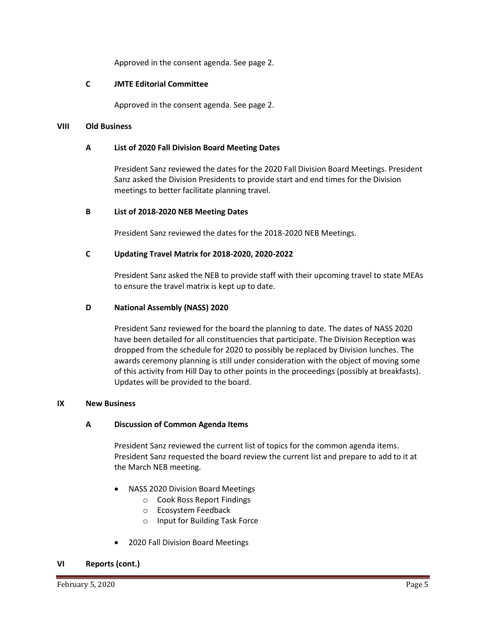Approved in the consent agenda. See page 2.

#### **C JMTE Editorial Committee**

Approved in the consent agenda. See page 2.

#### **VIII Old Business**

#### **A List of 2020 Fall Division Board Meeting Dates**

President Sanz reviewed the dates for the 2020 Fall Division Board Meetings. President Sanz asked the Division Presidents to provide start and end times for the Division meetings to better facilitate planning travel.

### **B List of 2018-2020 NEB Meeting Dates**

President Sanz reviewed the dates for the 2018-2020 NEB Meetings.

### **C Updating Travel Matrix for 2018-2020, 2020-2022**

President Sanz asked the NEB to provide staff with their upcoming travel to state MEAs to ensure the travel matrix is kept up to date.

### **D National Assembly (NASS) 2020**

President Sanz reviewed for the board the planning to date. The dates of NASS 2020 have been detailed for all constituencies that participate. The Division Reception was dropped from the schedule for 2020 to possibly be replaced by Division lunches. The awards ceremony planning is still under consideration with the object of moving some of this activity from Hill Day to other points in the proceedings (possibly at breakfasts). Updates will be provided to the board.

#### **IX New Business**

### **A Discussion of Common Agenda Items**

President Sanz reviewed the current list of topics for the common agenda items. President Sanz requested the board review the current list and prepare to add to it at the March NEB meeting.

- NASS 2020 Division Board Meetings
	- o Cook Ross Report Findings
	- o Ecosystem Feedback
	- o Input for Building Task Force
- 2020 Fall Division Board Meetings

#### **VI Reports (cont.)**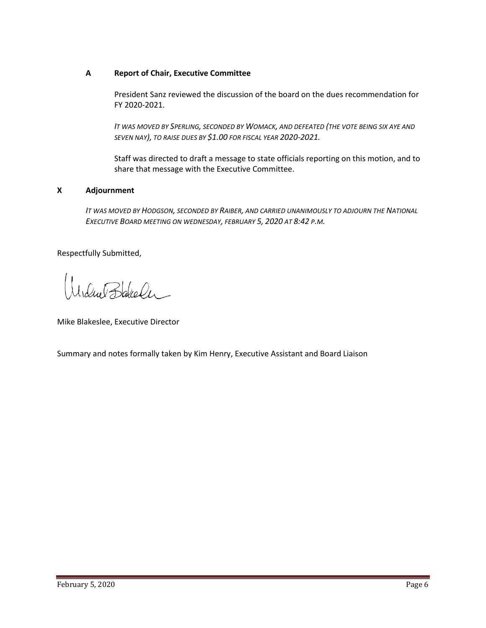## **A Report of Chair, Executive Committee**

President Sanz reviewed the discussion of the board on the dues recommendation for FY 2020-2021.

*IT WAS MOVED BY SPERLING, SECONDED BY WOMACK, AND DEFEATED (THE VOTE BEING SIX AYE AND SEVEN NAY), TO RAISE DUES BY \$1.00 FOR FISCAL YEAR 2020-2021.*

Staff was directed to draft a message to state officials reporting on this motion, and to share that message with the Executive Committee.

## **X Adjournment**

*IT WAS MOVED BY HODGSON, SECONDED BY RAIBER, AND CARRIED UNANIMOUSLY TO ADJOURN THE NATIONAL EXECUTIVE BOARD MEETING ON WEDNESDAY, FEBRUARY 5, 2020 AT 8:42 P.M.*

Respectfully Submitted,

Idue Bakeler

Mike Blakeslee, Executive Director

Summary and notes formally taken by Kim Henry, Executive Assistant and Board Liaison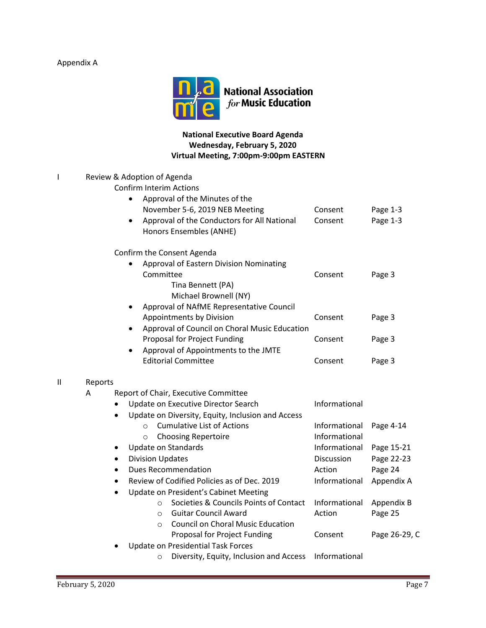# Appendix A



## **National Executive Board Agenda Wednesday, February 5, 2020 Virtual Meeting, 7:00pm-9:00pm EASTERN**

|   |           | Review & Adoption of Agenda<br><b>Confirm Interim Actions</b>                       |               |               |  |
|---|-----------|-------------------------------------------------------------------------------------|---------------|---------------|--|
|   |           | Approval of the Minutes of the                                                      |               |               |  |
|   |           | November 5-6, 2019 NEB Meeting                                                      | Consent       | Page 1-3      |  |
|   |           | Approval of the Conductors for All National<br>$\bullet$<br>Honors Ensembles (ANHE) | Consent       | Page 1-3      |  |
|   |           | Confirm the Consent Agenda                                                          |               |               |  |
|   |           | Approval of Eastern Division Nominating                                             |               |               |  |
|   |           | Committee<br>Tina Bennett (PA)<br>Michael Brownell (NY)                             | Consent       | Page 3        |  |
|   |           | Approval of NAfME Representative Council                                            |               |               |  |
|   |           | Appointments by Division                                                            | Consent       | Page 3        |  |
|   |           | Approval of Council on Choral Music Education<br>$\bullet$                          |               |               |  |
|   |           | Proposal for Project Funding                                                        | Consent       | Page 3        |  |
|   |           | Approval of Appointments to the JMTE                                                |               |               |  |
|   |           | <b>Editorial Committee</b>                                                          | Consent       | Page 3        |  |
| Ш | Reports   |                                                                                     |               |               |  |
|   | A         | Report of Chair, Executive Committee                                                |               |               |  |
|   |           | Update on Executive Director Search                                                 | Informational |               |  |
|   |           | Update on Diversity, Equity, Inclusion and Access                                   |               |               |  |
|   |           | <b>Cumulative List of Actions</b><br>$\circ$                                        | Informational | Page 4-14     |  |
|   |           | <b>Choosing Repertoire</b><br>$\circ$                                               | Informational |               |  |
|   |           | Update on Standards                                                                 | Informational | Page 15-21    |  |
|   |           | <b>Division Updates</b>                                                             | Discussion    | Page 22-23    |  |
|   |           | <b>Dues Recommendation</b>                                                          | Action        | Page 24       |  |
|   |           | Review of Codified Policies as of Dec. 2019                                         | Informational | Appendix A    |  |
|   | $\bullet$ | Update on President's Cabinet Meeting                                               |               |               |  |
|   |           | Societies & Councils Points of Contact<br>$\circ$                                   | Informational | Appendix B    |  |
|   |           | <b>Guitar Council Award</b><br>$\circ$                                              | Action        | Page 25       |  |
|   |           | <b>Council on Choral Music Education</b><br>$\circ$                                 |               |               |  |
|   |           | Proposal for Project Funding                                                        | Consent       | Page 26-29, C |  |
|   |           | <b>Update on Presidential Task Forces</b>                                           |               |               |  |
|   |           | Diversity, Equity, Inclusion and Access<br>O                                        | Informational |               |  |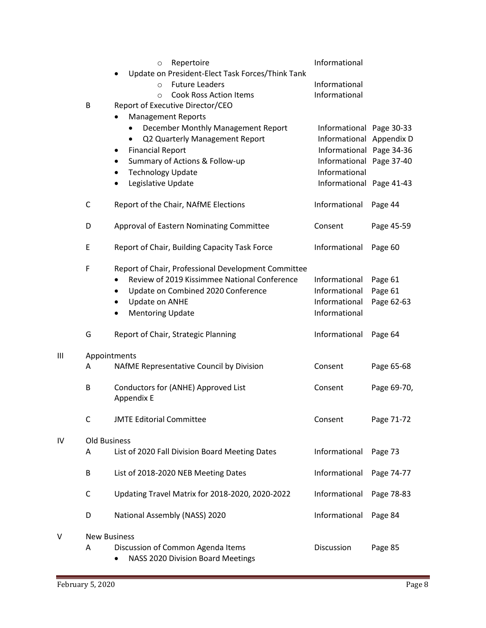|    |                     | Repertoire<br>$\circ$<br>Update on President-Elect Task Forces/Think Tank | Informational            |             |  |  |
|----|---------------------|---------------------------------------------------------------------------|--------------------------|-------------|--|--|
|    |                     | <b>Future Leaders</b><br>$\circ$                                          | Informational            |             |  |  |
|    |                     | <b>Cook Ross Action Items</b><br>$\Omega$                                 | Informational            |             |  |  |
|    | В                   | Report of Executive Director/CEO                                          |                          |             |  |  |
|    |                     | <b>Management Reports</b>                                                 |                          |             |  |  |
|    |                     | December Monthly Management Report                                        | Informational Page 30-33 |             |  |  |
|    |                     | Q2 Quarterly Management Report<br>$\bullet$                               | Informational Appendix D |             |  |  |
|    |                     | <b>Financial Report</b><br>٠                                              | Informational Page 34-36 |             |  |  |
|    |                     | Summary of Actions & Follow-up                                            | Informational Page 37-40 |             |  |  |
|    |                     | <b>Technology Update</b><br>٠                                             | Informational            |             |  |  |
|    |                     | Legislative Update                                                        | Informational Page 41-43 |             |  |  |
|    | C                   | Report of the Chair, NAfME Elections                                      | Informational            | Page 44     |  |  |
|    | D                   | Approval of Eastern Nominating Committee                                  | Consent                  | Page 45-59  |  |  |
|    | E                   | Report of Chair, Building Capacity Task Force                             | Informational            | Page 60     |  |  |
|    | F                   | Report of Chair, Professional Development Committee                       |                          |             |  |  |
|    |                     | Review of 2019 Kissimmee National Conference                              | Informational            | Page 61     |  |  |
|    |                     | Update on Combined 2020 Conference                                        | Informational            | Page 61     |  |  |
|    |                     | Update on ANHE<br>٠                                                       | Informational            | Page 62-63  |  |  |
|    |                     | <b>Mentoring Update</b>                                                   | Informational            |             |  |  |
|    | G                   | Report of Chair, Strategic Planning                                       | Informational            | Page 64     |  |  |
| Ш  | Appointments        |                                                                           |                          |             |  |  |
|    | A                   | NAfME Representative Council by Division                                  | Consent                  | Page 65-68  |  |  |
|    | В                   | Conductors for (ANHE) Approved List<br>Appendix E                         | Consent                  | Page 69-70, |  |  |
|    |                     |                                                                           |                          |             |  |  |
|    | C                   | <b>JMTE Editorial Committee</b>                                           | Consent                  | Page 71-72  |  |  |
| IV | <b>Old Business</b> |                                                                           |                          |             |  |  |
|    | Α                   | List of 2020 Fall Division Board Meeting Dates                            | Informational            | Page 73     |  |  |
|    | B                   | List of 2018-2020 NEB Meeting Dates                                       | Informational            | Page 74-77  |  |  |
|    | C                   | Updating Travel Matrix for 2018-2020, 2020-2022                           | Informational            | Page 78-83  |  |  |
|    | D                   | National Assembly (NASS) 2020                                             | Informational            | Page 84     |  |  |
| v  | <b>New Business</b> |                                                                           |                          |             |  |  |
|    | Α                   | Discussion of Common Agenda Items                                         | Discussion               | Page 85     |  |  |
|    |                     | NASS 2020 Division Board Meetings<br>٠                                    |                          |             |  |  |